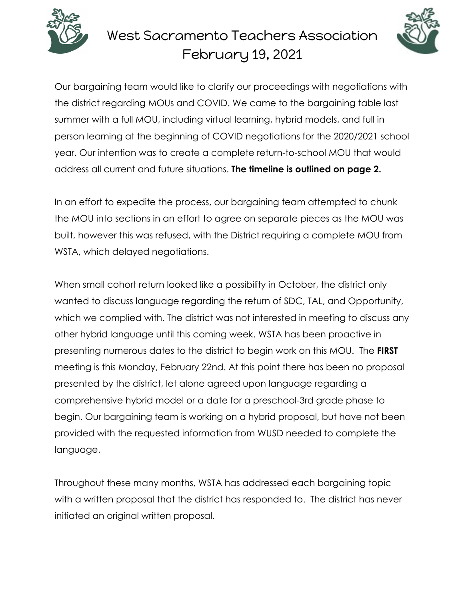

## West Sacramento Teachers Association February 19, 2021



Our bargaining team would like to clarify our proceedings with negotiations with the district regarding MOUs and COVID. We came to the bargaining table last summer with a full MOU, including virtual learning, hybrid models, and full in person learning at the beginning of COVID negotiations for the 2020/2021 school year. Our intention was to create a complete return-to-school MOU that would address all current and future situations. **The timeline is outlined on page 2.**

In an effort to expedite the process, our bargaining team attempted to chunk the MOU into sections in an effort to agree on separate pieces as the MOU was built, however this was refused, with the District requiring a complete MOU from WSTA, which delayed negotiations.

When small cohort return looked like a possibility in October, the district only wanted to discuss language regarding the return of SDC, TAL, and Opportunity, which we complied with. The district was not interested in meeting to discuss any other hybrid language until this coming week. WSTA has been proactive in presenting numerous dates to the district to begin work on this MOU. The **FIRST** meeting is this Monday, February 22nd. At this point there has been no proposal presented by the district, let alone agreed upon language regarding a comprehensive hybrid model or a date for a preschool-3rd grade phase to begin. Our bargaining team is working on a hybrid proposal, but have not been provided with the requested information from WUSD needed to complete the language.

Throughout these many months, WSTA has addressed each bargaining topic with a written proposal that the district has responded to. The district has never initiated an original written proposal.